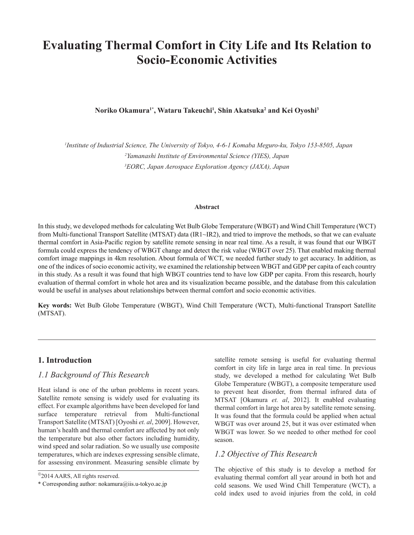# **Evaluating Thermal Comfort in City Life and Its Relation to Socio-Economic Activities**

**Noriko Okamura1\*, Wataru Takeuchi1 , Shin Akatsuka2 and Kei Oyoshi3**

*1 Institute of Industrial Science, The University of Tokyo, 4-6-1 Komaba Meguro-ku, Tokyo 153-8505, Japan 2 Yamanashi Institute of Environmental Science (YIES), Japan 3 EORC, Japan Aerospace Exploration Agency (JAXA), Japan*

#### **Abstract**

In this study, we developed methods for calculating Wet Bulb Globe Temperature (WBGT) and Wind Chill Temperature (WCT) from Multi-functional Transport Satellite (MTSAT) data (IR1~IR2), and tried to improve the methods, so that we can evaluate thermal comfort in Asia-Pacific region by satellite remote sensing in near real time. As a result, it was found that our WBGT formula could express the tendency of WBGT change and detect the risk value (WBGT over 25). That enabled making thermal comfort image mappings in 4km resolution. About formula of WCT, we needed further study to get accuracy. In addition, as one of the indices of socio economic activity, we examined the relationship between WBGT and GDP per capita of each country in this study. As a result it was found that high WBGT countries tend to have low GDP per capita. From this research, hourly evaluation of thermal comfort in whole hot area and its visualization became possible, and the database from this calculation would be useful in analyses about relationships between thermal comfort and socio economic activities.

**Key words:** Wet Bulb Globe Temperature (WBGT), Wind Chill Temperature (WCT), Multi-functional Transport Satellite (MTSAT).

# **1. Introduction**

# *1.1 Background of This Research*

Heat island is one of the urban problems in recent years. Satellite remote sensing is widely used for evaluating its effect. For example algorithms have been developed for land surface temperature retrieval from Multi-functional Transport Satellite (MTSAT) [Oyoshi *et. al*, 2009]. However, human's health and thermal comfort are affected by not only the temperature but also other factors including humidity, wind speed and solar radiation. So we usually use composite temperatures, which are indexes expressing sensible climate, for assessing environment. Measuring sensible climate by satellite remote sensing is useful for evaluating thermal comfort in city life in large area in real time. In previous study, we developed a method for calculating Wet Bulb Globe Temperature (WBGT), a composite temperature used to prevent heat disorder, from thermal infrared data of MTSAT [Okamura *et. al*, 2012]. It enabled evaluating thermal comfort in large hot area by satellite remote sensing. It was found that the formula could be applied when actual WBGT was over around 25, but it was over estimated when WBGT was lower. So we needed to other method for cool season.

# *1.2 Objective of This Research*

The objective of this study is to develop a method for evaluating thermal comfort all year around in both hot and cold seasons. We used Wind Chill Temperature (WCT), a cold index used to avoid injuries from the cold, in cold

<sup>&</sup>lt;sup>©</sup>2014 AARS, All rights reserved.

<sup>\*</sup> Corresponding author: nokamura@iis.u-tokyo.ac.jp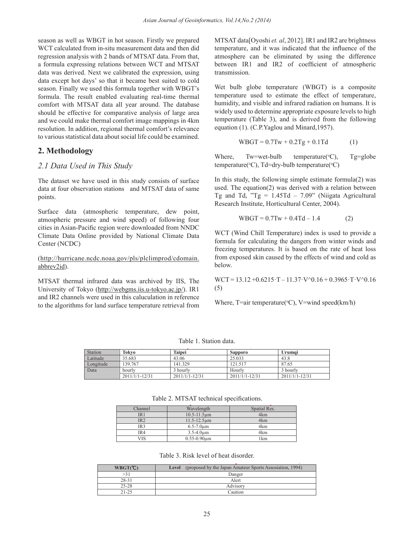season as well as WBGT in hot season. Firstly we prepared WCT calculated from in-situ measurement data and then did regression analysis with 2 bands of MTSAT data. From that, a formula expressing relations between WCT and MTSAT data was derived. Next we calibrated the expression, using data except hot days' so that it became best suited to cold season. Finally we used this formula together with WBGT's formula. The result enabled evaluating real-time thermal comfort with MTSAT data all year around. The database should be effective for comparative analysis of large area and we could make thermal comfort image mappings in 4km resolution. In addition, regional thermal comfort's relevance to various statistical data about social life could be examined.

# **2. Methodology**

# 2.1 Data Used in This Study

The dataset we have used in this study consists of surface data at four observation stations and MTSAT data of same points.

Surface data (atmospheric temperature, dew point, atmospheric pressure and wind speed) of following four cities in Asian-Pacific region were downloaded from NNDC  $\frac{1}{N}$ Climate Data Online provided by National Climate Data Center (NCDC)

(http://hurricane.ncdc.noaa.gov/pls/plclimprod/cdomain. from exposed skin caused by the example abbrev2id).  $\sum_{i=1}^{\infty}$  helow

MTSAT thermal infrared data was archived by IIS, The University of Tokyo (http://webgms.iis.u-tokyo.ac.jp/). IR1 (5) and IR2 channels were used in this caluculation in reference to the algorithms for land surface temperature retrieval from Where,  $I = \text{air temperature}(\text{°C})$ ,  $V = \text{wind speed}(\text{km}/\text{m})$ **2.1** *<u>Intrared</u>* data was archive  $\mathbf{A}$ IR2 are brightness temperature, and it was indicated that the influence of the atmosphere can be

MTSAT data[Oyoshi *et. al*, 2012]. IR1 and IR2 are brightness temperature, and it was indicated that the influence of the atmosphere can be eliminated by using the difference between IR1 and IR2 of coefficient of atmospheric transmission.

Wet bulb globe temperature (WBGT) is a composite temperature used to estimate the effect of temperature, humidity, and visible and infrared radiation on humans. It is widely used to determine appropriate exposure levels to high temperature (Table 3), and is derived from the following equation (1). (C.P.Yaglou and Minard,1957).

$$
WBGT = 0.7Tw + 0.2Tg + 0.1Td
$$
 (1)

Where, Tw=wet-bulb temperature( ${}^{\circ}$ C), Tg=globe temperature(°C), Td=dry-bulb temperature(°C)

Research Institute, Horticultural Center, 2004). It is study consists of surface and the data  $\frac{1}{2}$  m and MTSAT data of same used. The equation (2) was derived with a relation between In this study, the following simple estimate formula $(2)$  was Tg and Td, "Tg =  $1.45Td - 7.09$ " (Niigata Agricultural

$$
WBGT = 0.7Tw + 0.4Td - 1.4
$$
 (2)

formula for calculating the dangers from winter winds and freezing temperatures. It is based on the rate Integrals compounded in this state of the face of heat ross<br>lelimprod/cdomain from exposed skin caused by the effects of wind and cold as freezing temperatures. It is based on the rate of heat loss WCT (Wind Chill Temperature) index is used to provide a below.

> a was archived by IIS, The WCT = 13.12 +0.6215·T – 11.37·V $\textdegree$ 0.16 + 0.3965·T·V $\textdegree$ 0.16 (5)

> > Where,  $T =$ air temperature(°C), V=wind speed(km/h)

Table 1. Station data. IRUIV 1. SHAHUH AARA.

| Station   | Tokvo          | Taipei           | <b>Sapporo</b> | Urumai           |
|-----------|----------------|------------------|----------------|------------------|
| Latitude  | 35.683         | 43.06            | 25.033         | 43.8             |
| Longitude | 139.767        | 141.329          | 121.517        | 87.65            |
| Data      | hourly         | 3 hourly         | Hourly         | 3 hourly         |
|           | 2011/1/1-12/31 | $2011/1/1-12/31$ | 2011/1/1-12/31 | $2011/1/1-12/31$ |

Table 2. MTSAT technical specifications **(The University of Tokyo)**  $\overline{\text{C}}$ Table 2. MTSAT technical specifications.

| Channel | Wavelength                   | Spatial Res. |
|---------|------------------------------|--------------|
| IR 1    | $10.5 - 11.5 \,\text{µm}$    | 4km          |
| IR2     | $11.5 - 12.5 \,\mu m$        | 4km          |
| IR3     | $6.5 - 7.0 \mu m$            | 4km          |
| IR4     | $3.5 - 4.0 \mu m$            | 4km          |
|         | $0.55 - 0.90 \,\text{\mu m}$ | 1 km         |

 $F(11.0, D^2 11.5)$   $F(1, 1, 01, 1)$ Table 3. Risk level of heat disorder. Fuct by NBK tever of fiear used to estimate.

| WBGT(C)   | Level (proposed by the Japan Amateur Sports Assosiation, 1994) |
|-----------|----------------------------------------------------------------|
| >31       | Danger                                                         |
| 28-31     | Alert                                                          |
| $25 - 28$ | Advisory                                                       |
| $21 - 25$ | Caution                                                        |
|           |                                                                |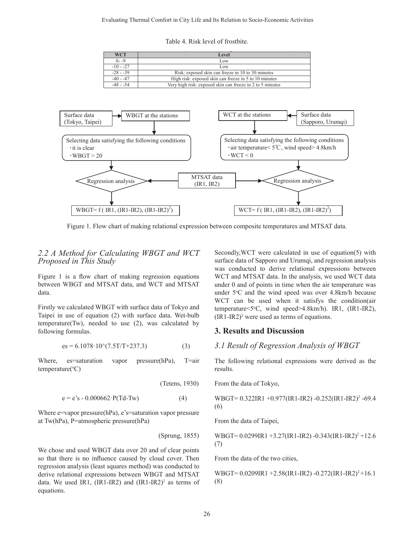Table 4. Risk level of frostbite.

| WCT         | Level                                                     |
|-------------|-----------------------------------------------------------|
| ()- -9      | Low                                                       |
| $-10 - -27$ | Low                                                       |
| $-28 - -39$ | Risk: exposed skin can freeze in 10 to 30 minutes         |
| $-40 - -47$ | High risk: exposed skin can freeze in 5 to 10 minutes     |
| $-48 - -54$ | Very high risk: exposed skin can freeze in 2 to 5 minutes |



Figure 1. Flow chart of making relational expression between composite temperatures and MTSAT data.  $\mathcal{L}$  is a set of  $\mathcal{L}$  $\frac{1}{1}$ 

### *2.2 A Method for Calculating WBGT and WCT Proposed in This Study*

Figure 1 is a flow chart of making regression equations between WBGT and MTSAT data, and WCT and MTSAT data.

Thisty we calculated WDOT with surface data of Tokyo and  $\frac{1}{2}$  temperature  $\langle 5^{\circ}C, \rangle$  wind Taipei in use of equation (2) with surface data. Wet-bulb  $\frac{(IR1-IR2)^2}{(IR2-IR2)^2}$  were used as Firstly we calculated WBGT with surface data of Tokyo and temperature(Tw), needed to use (2), was calculated by following formulas.

$$
es = 6.1078 \cdot 10^{\circ} (7.5T/T + 237.3) \tag{3}
$$

Where, es=saturation vapor pressure(hPa), T=air temperature(°C)

(Tetens, 1930)

$$
e = e's - 0.000662 \cdot P(Td-Tw)
$$
 (4)

Where e=vapor pressure(hPa), e's=saturation vapor pressure at Tw(hPa), P=atmospheric pressure(hPa)

(Sprung, 1855)

We chose and used WBGT data over 20 and of clear points so that there is no influence caused by cloud cover. Then regression analysis (least squares method) was conducted to derive relational expressions between WBGT and MTSAT data. We used IR1,  $(IR1-IR2)$  and  $(IR1-IR2)^2$  as terms of equations.

*i k* and *WCT* secondly, WCT were calculated in use of equation(5) with surface data of Sapporo and Urumqi, and regression analysis  $\frac{1}{2}$   $\frac{1}{2}$  we calculated with surface data of  $\frac{1}{2}$  with surface data of  $\frac{1}{2}$  with  $\frac{1}{2}$  with  $\frac{1}{2}$  with  $\frac{1}{2}$  with  $\frac{1}{2}$  with  $\frac{1}{2}$  with  $\frac{1}{2}$  with  $\frac{1}{2}$  with  $\frac{1}{2}$  with SAT data, and WCT and MTSAT under  $0$  and of points in time when the air temperature was rface data. Wet-bulb  $(IR1-IR2)^2$  were used as terms of equations. was conducted to derive relational expressions between 1 is a flow chart of making regression equations WCT and MTSAT data. In the analysis, we used WCT data under  $5^{\circ}$ C and the wind speed was over 4.8km/h because WCT can be used when it satisfys the condition(air temperature<5o C, wind speed>4.8km/h). IR1, (IR1-IR2),

### **3. Results and Discussion**

#### *3.1 Result of Regression Analysis of WBGT*

The following relational expressions were derived as the results.

From the data of Tokyo,

$$
WBGT = 0.322IR1 + 0.977(IR1-IR2) - 0.252(IR1-IR2)^{2} - 69.4
$$
  
(6)

From the data of Taipei,

WBGT=  $0.0299$ IR1 +3.27(IR1-IR2) -0.343(IR1-IR2)<sup>2</sup> +12.6 (7)

From the data of the two cities,

WBGT=  $0.0209$ IR1 +2.58(IR1-IR2) -0.272(IR1-IR2)<sup>2</sup>+16.1 (8)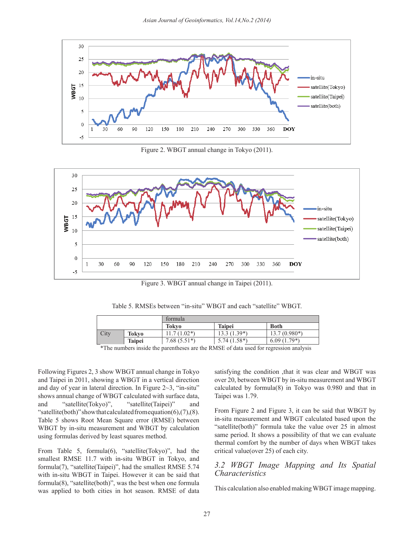

Figure 2. WBGT annual change in Tokyo (2011).



Figure 3. WBGT annual change in Taipei (2011).

| $\overline{1}$                                                                        |               |               |               |                |  |  |
|---------------------------------------------------------------------------------------|---------------|---------------|---------------|----------------|--|--|
|                                                                                       |               | formula       |               |                |  |  |
|                                                                                       |               | Tokvo         | <b>Taipei</b> | <b>Both</b>    |  |  |
| City                                                                                  | Tokvo         | $11.7(1.02*)$ | $13.3(1.39*)$ | $13.7(0.980*)$ |  |  |
|                                                                                       | <b>Taipei</b> | $7.68(5.51*)$ | $5.74(1.58*)$ | $6.09(1.79*)$  |  |  |
| $*$ The numbers inside the negative are the DMCE of data used for recreasion enalysis |               |               |               |                |  |  |

The numbers inside the parentheses are the RMSE of data used for regression analysis

Following Figures 2, 3 show WBGT annual change in Tokyo and Taipei in 2011, showing a WBGT in a vertical direction and day of year in lateral direction. In Figure 2~3, "in-situ" shows annual change of WBGT calculated with surface data, Taipei was  $1.79$ . and "satellite(Tokyo)", "satellite(Taipei)" and and satellite(10 satellite(10 satellite(10 satellite(both)" show that calculated from equation(6),(7),(8). Table 5 shows Root Mean Square error (RMSE) between WBGT by in-situ measurement and WBGT by calculation using formulas derived by least squares method.

From Table 5, formula(6), "satellite(Tokyo)", had the smallest RMSE 11.7 with in-situ WBGT in Tokyo, and formula(7), "satellite(Taipei)", had the smallest RMSE 5.74  $\frac{3.2}{\sigma}$  WBGT Image with in-situ WBGT in Taipei. However it can be said that Characteristics formula(8), "satellite(both)", was the best when one formula  $\mathbb{E}[f(x)]$  distribution on  $\mathbb{E}[f(x)]$  and  $\mathbb{E}[f(x)]$  and  $\mathbb{E}[f(x)]$  and  $\mathbb{E}[f(x)]$  and  $\mathbb{E}[f(x)]$  and  $\mathbb{E}[f(x)]$  and  $\mathbb{E}[f(x)]$  and  $\mathbb{E}[f(x)]$  and  $\mathbb$ was applied to both cities in hot season. RMSE of data Iniscalculation also enabled making wBGT image mapping.

show WBGT annual change in Tokyo satisfying the condition ,that it was clear and WBGT was wing a WBGT in a vertical direction over 20, between WBGT by in-situ measurement and WBGT ral direction. In Figure  $2~3$ , "in-situ" calculated by formula(8) in Tokyo was 0.980 and that in Taipei was 1.79.

From Figure 2 and Figure 3, it can be said that WBGT by Square error (RMSE) between in-situ measurement and WBGT calculated based upon the reall square error (KNISE) between the satellite(both)" formula take the value over 25 in almost surement and WBGT by calculation "satellite(both)" formula take the value over 25 in almost shows a possibility of that we can evaluate the number of days a possibility of that we can evaluate by least squares method. From Figure 2 and Figure 3, it can be said that WBGT by thermal comfort by the number of days when WBGT takes critical value(over 25) of each city.

# *3.2 WBGT Image Mapping and Its Spatial Characteristics*

This calculation also enabled making WBGT image mapping.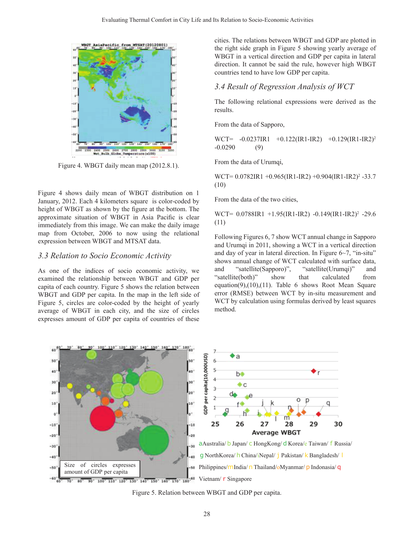

From the d Figure 4. WBGT daily mean map (2012.8.1).

Figure 4 shows daily mean of WBGT distribution on 1 January, 2012. Each 4 kilometers square is color-coded by From the data of the two height of WBGT as shown by the figure at the bottom. The  $WCT = 0.0788 \text{ID}1 + 1.04$ approximate situation of WBGT in Asia Pacific is clear  $\frac{W\text{C}}{11}$  (11) immediately from this image. We can make the daily image  $(11)$ map from October, 2006 to now using the relational Following Figures 6, 7 sh expression between WBGT and MTSAT data.<br>**Following Figures 0, 7 show WCT** and the end of the product of the product of the end of the product of the end of the end of the end of the end of the end of the end of the end of

# 3.3 Relation to Socio Economic Activity

As one of the indices of socio economic activity, we examined the relationship between WBGT and GDP per capita of each country. Figure 5 shows the relation between WBGT and GDP per capita. In the map in the left side of Figure 5, circles are color-coded by the height of yearly average of WBGT in each city, and the size of circles method.  $\frac{1}{2}$  controls the relations between WBGT and GDP per capita of countries of these average of  $W_{B}$  in a vertical direction and GDP per capital in lateral direction. It can not be said the same said the same said the same said the same said the same said the same said the same same same said the same s

cities. The relations between WBGT and GDP are plotted in the right side graph in Figure 5 showing yearly average of WBGT in a vertical direction and GDP per capita in lateral direction. It cannot be said the rule, however high WBGT countries tend to have low GDP per capita.

#### *3.4 Result of Regression Analysis of WCT*

The following relational expressions were derived as the results.

From the data of Sapporo,

WCT=  $-0.0237IR1 +0.122(IR1-IR2) +0.129(IR1-IR2)^2$ -0.0290 (9)

From the data of Urumqi,

 $WCT= 0.0782IR1 + 0.965(IR1-IR2) + 0.904(IR1-IR2)^2 -33.7$ (10)

From the data of the two cities,

WCT= 0.0788IR1 +1.95(IR1-IR2) -0.149(IR1-IR2)<sup>2</sup> -29.6 (11)

Following Figures 6, 7 show WCT annual change in Sapporo expression between w BGT and MTSAT data. and Urumqi in 2011, showing a WCT in a vertical direction and day of year in lateral direction. In Figure 6~7, "in-situ" shows annual change of WCT calculated with surface data, and "satellite(Sapporo)", "satellite(Urumqi)" and "satellite(both)" show that calculated from examine the indices of the indices of the indices of the indices of the indices of the indices of the indices of the relation between equation(9),(10),(11). Table 6 shows Root Mean Square a or each country. Figure 5 shows the relation between  $\frac{1}{2}$  from (RMSE) between WCT by in-situ measurement and GDP per capita. In the map in the left side of  $\frac{1}{2}$  error (RMSE) between WCT by in-situ measurement In the map in the map in the left side of the map in the left side of wcT by calculation using formulas derived by least squares re 5, circles are color-coded by the height of yearly wCT by calculation using formulas deriv method.



Figure 5. Relation between WBGT and GDP per capita.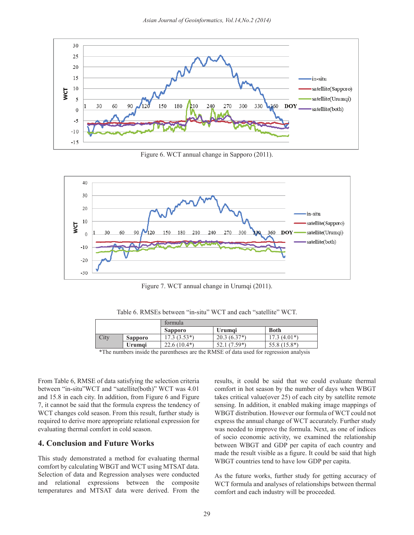

Figure 6. WCT annual change in Sapporo (2011).



**Figure 7. WCT annual change in Urumqi** (2011) Figure 7. WCT annual change in Urumqi (2011).

formula  $T = 11$   $\angle$  **RMCE**  $\angle$  **i**  $\angle$  **ii**  $\angle$  **WWCT**  $\angle$  **i**  $\angle$  **ii**  $\angle$  **iii**  $\angle$  **WWCT** Table 6. RMSEs between "in-situ" WCT and each "satellite" WCT.

|           |                   | formula        |                                                            |                |
|-----------|-------------------|----------------|------------------------------------------------------------|----------------|
|           |                   | <b>Sapporo</b> | <b>Urumai</b>                                              | <b>Both</b>    |
| City      | Sapporo           | $3(3.53*)$     | $20.3(6.37*)$                                              | $17.3(4.01*)$  |
|           | Urumai            | $22.6(10.4*)$  | $1(7.59*)$<br>، ئەك                                        | $55.8(15.8^*)$ |
| $-1.7774$ | $\cdots$ $\cdots$ |                | $\sim$<br>$\sim$ $\sim$ $\sim$ $\sim$ $\sim$ $\sim$ $\sim$ |                |

\*The numbers inside the parentheses are the RMSE of data used for regression analysis

le 6, RMSE of data satisfying the selection criteria results, it could be said that we could evaluate thermal and 15.8 in each city. In addition, from Figure 6 and Figure required to derive more appropriate relational expression for 7, it cannot be said that the formula express the tendency of evaluating thermal comfort in cold season. Was need From Table 6, RMSE of data satisfying the selection criteria between "in-situ"WCT and "satellite(both)" WCT was 4.01 WCT changes cold season. From this result, further study is

#### **4. Conclusion and Future Works**

This study demonstrated a method for evaluating thermal comfort by calculating WBGT and WCT using MTSAT data. Selection of data and Regression analyses were conducted and relational expressions between the composite temperatures and MTSAT data were derived. From the

in-situ''WCT and "satellite(both)" WCT was 4.01 comfort in hot season by the number of days when WBGT In addition, from Figure 6 and Figure takes critical value(over 25) of each city by satellite remote sensing. In addition, it enabled making image mappings of WBGT distribution. However our formula of WCT could not express the annual change of WCT accurately. Further study was needed to improve the formula. Next, as one of indices of socio economic activity, we examined the relationship between WBGT and GDP per capita of each country and made the result visible as a figure. It could be said that high WBGT countries tend to have low GDP per capita.

> As the future works, further study for getting accuracy of WCT formula and analyses of relationships between thermal comfort and each industry will be proceeded.